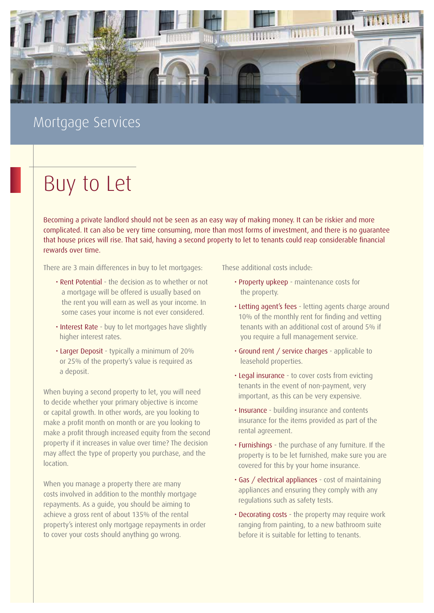

# Mortgage Services

# Buy to Let

Becoming a private landlord should not be seen as an easy way of making money. It can be riskier and more complicated. It can also be very time consuming, more than most forms of investment, and there is no guarantee that house prices will rise. That said, having a second property to let to tenants could reap considerable financial rewards over time.

There are 3 main differences in buy to let mortgages:

- Rent Potential the decision as to whether or not a mortgage will be offered is usually based on the rent you will earn as well as your income. In some cases your income is not ever considered.
- Interest Rate buy to let mortgages have slightly higher interest rates.
- Larger Deposit typically a minimum of 20% or 25% of the property's value is required as a deposit.

When buying a second property to let, you will need to decide whether your primary objective is income or capital growth. In other words, are you looking to make a profit month on month or are you looking to make a profit through increased equity from the second property if it increases in value over time? The decision may affect the type of property you purchase, and the location.

When you manage a property there are many costs involved in addition to the monthly mortgage repayments. As a guide, you should be aiming to achieve a gross rent of about 135% of the rental property's interest only mortgage repayments in order to cover your costs should anything go wrong.

These additional costs include:

- Property upkeep maintenance costs for the property.
- Letting agent's fees letting agents charge around 10% of the monthly rent for finding and vetting tenants with an additional cost of around 5% if you require a full management service.
- Ground rent / service charges applicable to leasehold properties.
- Legal insurance to cover costs from evicting tenants in the event of non-payment, very important, as this can be very expensive.
- Insurance building insurance and contents insurance for the items provided as part of the rental agreement.
- Furnishings the purchase of any furniture. If the property is to be let furnished, make sure you are covered for this by your home insurance.
- Gas / electrical appliances cost of maintaining appliances and ensuring they comply with any regulations such as safety tests.
- Decorating costs the property may require work ranging from painting, to a new bathroom suite before it is suitable for letting to tenants.